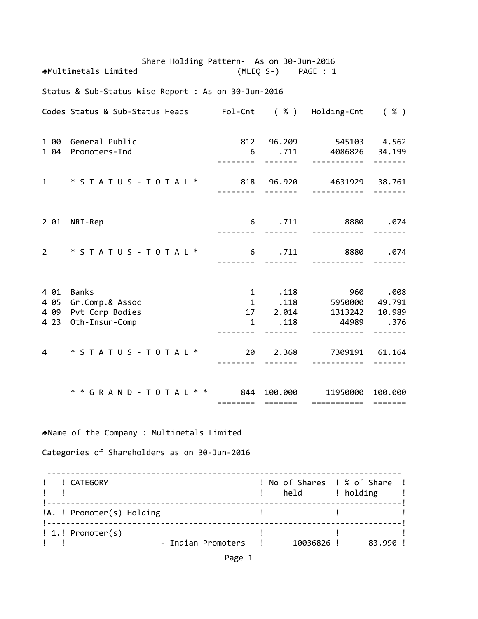Share Holding Pattern‐ As on 30‐Jun‐2016 Multimetals Limited (MLEQ S‐) PAGE : 1 Status & Sub‐Status Wise Report : As on 30‐Jun‐2016 Codes Status & Sub‐Status Heads Fol‐Cnt ( % ) Holding‐Cnt ( % ) 1 00 General Public 812 96.209 545103 4.562 1 04 Promoters‐Ind 6 .711 4086826 34.199 ‐‐‐‐‐‐‐‐ ‐‐‐‐‐‐‐ ‐‐‐‐‐‐‐‐‐‐‐ ‐‐‐‐‐‐‐ 1 \* S T A T U S ‐ T O T A L \* 818 96.920 4631929 38.761 ‐‐‐‐‐‐‐‐ ‐‐‐‐‐‐‐ ‐‐‐‐‐‐‐‐‐‐‐ ‐‐‐‐‐‐‐ 2 01 NRI‐Rep 6 .711 8880 .074 ‐‐‐‐‐‐‐‐ ‐‐‐‐‐‐‐ ‐‐‐‐‐‐‐‐‐‐‐ ‐‐‐‐‐‐‐ 2 \* S T A T U S ‐ T O T A L \* 6 .711 8880 .074 ‐‐‐‐‐‐‐‐ ‐‐‐‐‐‐‐ ‐‐‐‐‐‐‐‐‐‐‐ ‐‐‐‐‐‐‐ 4 01 Banks 1 .118 960 .008 4 05 Gr.Comp.& Assoc 4 09 Pvt Corp Bodies 17 2.014 1313242 10.989 4 23 Oth‐Insur‐Comp 1 .118 44989 .376 ‐‐‐‐‐‐‐‐ ‐‐‐‐‐‐‐ ‐‐‐‐‐‐‐‐‐‐‐ ‐‐‐‐‐‐‐ 4 \* S T A T U S ‐ T O T A L \* 20 2.368 7309191 61.164 ‐‐‐‐‐‐‐‐ ‐‐‐‐‐‐‐ ‐‐‐‐‐‐‐‐‐‐‐ ‐‐‐‐‐‐‐ \* \* G R A N D ‐ T O T A L \* \* 844 100.000 11950000 100.000 ======== ======= =========== ======= Name of the Company : Multimetals Limited Categories of Shareholders as on 30‐Jun‐2016 ‐‐‐‐‐‐‐‐‐‐‐‐‐‐‐‐‐‐‐‐‐‐‐‐‐‐‐‐‐‐‐‐‐‐‐‐‐‐‐‐‐‐‐‐‐‐‐‐‐‐‐‐‐‐‐‐‐‐‐‐‐‐‐‐‐‐‐‐‐‐‐‐‐‐‐ ! ! CATEGORY ! No of Shares ! % of Share ! example to the set of the set of the set of the set of the set of the set of the set of the set of the set of t !‐‐‐‐‐‐‐‐‐‐‐‐‐‐‐‐‐‐‐‐‐‐‐‐‐‐‐‐‐‐‐‐‐‐‐‐‐‐‐‐‐‐‐‐‐‐‐‐‐‐‐‐‐‐‐‐‐‐‐‐‐‐‐‐‐‐‐‐‐‐‐‐‐‐‐! !A. ! Promoter(s) Holding ! ! ! !‐‐‐‐‐‐‐‐‐‐‐‐‐‐‐‐‐‐‐‐‐‐‐‐‐‐‐‐‐‐‐‐‐‐‐‐‐‐‐‐‐‐‐‐‐‐‐‐‐‐‐‐‐‐‐‐‐‐‐‐‐‐‐‐‐‐‐‐‐‐‐‐‐‐‐! ! 1.! Promoter(s) ! ! ! ! ! ‐ Indian Promoters ! 10036826 ! 83.990 !

Page 1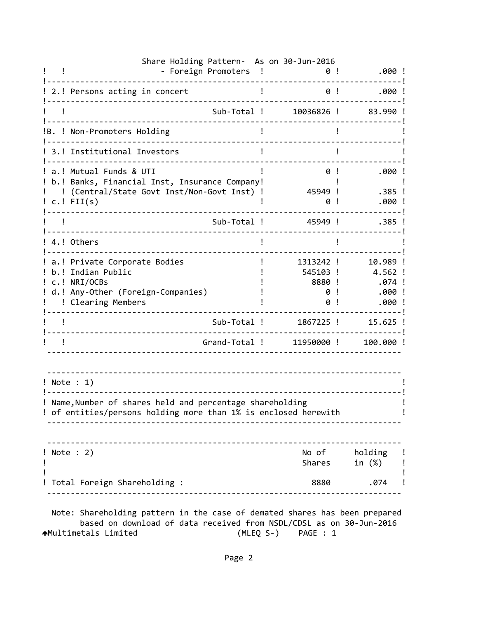|                  | Share Holding Pattern- As on 30-Jun-2016<br>- Foreign Promoters                                                              | $\mathbf{I}$                              | .000 !<br>0!                                    |
|------------------|------------------------------------------------------------------------------------------------------------------------------|-------------------------------------------|-------------------------------------------------|
|                  | 2.! Persons acting in concert                                                                                                |                                           | 0!<br>.000!                                     |
|                  | Sub-Total !                                                                                                                  | 10036826 !                                | 83.990!                                         |
|                  | B. ! Non-Promoters Holding                                                                                                   |                                           |                                                 |
|                  | 3.! Institutional Investors                                                                                                  |                                           |                                                 |
|                  | a.! Mutual Funds & UTI<br>b.! Banks, Financial Inst, Insurance Company!<br>(Central/State Govt Inst/Non-Govt Inst) !         | 0<br>45949 !                              | .000 !<br>$.385$ !                              |
| $c.$ ! FII $(s)$ |                                                                                                                              | 0                                         | .000!                                           |
|                  | Sub-Total !                                                                                                                  | 45949 !                                   | $.385$ !                                        |
| 4.! Others       |                                                                                                                              |                                           |                                                 |
| c.! NRI/OCBs     | a.! Private Corporate Bodies<br>b.! Indian Public<br>d.! Any-Other (Foreign-Companies)<br>! Clearing Members                 | 1313242 !<br>545103 !<br>8880 !<br>0<br>0 | 10.989 !<br>4.562 !<br>.074 !<br>.000!<br>.000! |
|                  | Sub-Total !                                                                                                                  | 1867225 !                                 | $15.625$ !                                      |
|                  | Grand-Total !                                                                                                                | 11950000!                                 | 100.000 !                                       |
| ! Note : 1)      | ! Name, Number of shares held and percentage shareholding<br>! of entities/persons holding more than 1% is enclosed herewith |                                           |                                                 |
| ! Note : 2)      |                                                                                                                              |                                           | No of holding !<br>Shares in (%) !              |
|                  | Total Foreign Shareholding :                                                                                                 |                                           | 8880 .074 !                                     |

 based on download of data received from NSDL/CDSL as on 30‐Jun‐2016 Multimetals Limited (MLEQ S‐) PAGE : 1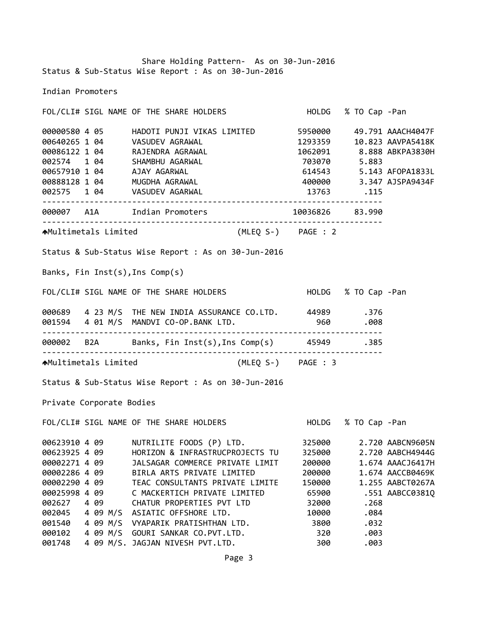Share Holding Pattern‐ As on 30‐Jun‐2016 Status & Sub‐Status Wise Report : As on 30‐Jun‐2016

Indian Promoters

FOL/CLI# SIGL NAME OF THE SHARE HOLDERS HOLDG % TO Cap ‐Pan 4 05 HADOTI PUNJI VIKAS LIMITED 5950000 49.791 AAACH4047F 1 04 VASUDEV AGRAWAL 1293359 10.823 AAVPA5418K 1 04 RAJENDRA AGRAWAL 1062091 8.888 ABKPA3830H 1 04 SHAMBHU AGARWAL 703070 5.883 1 04 AJAY AGARWAL 614543 5.143 AFOPA1833L 1 04 MUGDHA AGRAWAL 400000 3.347 AJSPA9434F 1 04 VASUDEV AGARWAL 13763 .115 ‐‐‐‐‐‐‐‐‐‐‐‐‐‐‐‐‐‐‐‐‐‐‐‐‐‐‐‐‐‐‐‐‐‐‐‐‐‐‐‐‐‐‐‐‐‐‐‐‐‐‐‐‐‐‐‐‐‐‐‐‐‐‐‐‐‐‐‐‐‐‐‐ A1A Indian Promoters 10036826 83.990 ‐‐‐‐‐‐‐‐‐‐‐‐‐‐‐‐‐‐‐‐‐‐‐‐‐‐‐‐‐‐‐‐‐‐‐‐‐‐‐‐‐‐‐‐‐‐‐‐‐‐‐‐‐‐‐‐‐‐‐‐‐‐‐‐‐‐‐‐‐‐‐‐ Multimetals Limited (MLEQ S‐) PAGE : 2 Status & Sub‐Status Wise Report : As on 30‐Jun‐2016 Banks, Fin Inst(s),Ins Comp(s) FOL/CLI# SIGL NAME OF THE SHARE HOLDERS HOLDG % TO Cap ‐Pan 4 23 M/S THE NEW INDIA ASSURANCE CO.LTD. 44989 .376 4 01 M/S MANDVI CO‐OP.BANK LTD. 960 .008 ‐‐‐‐‐‐‐‐‐‐‐‐‐‐‐‐‐‐‐‐‐‐‐‐‐‐‐‐‐‐‐‐‐‐‐‐‐‐‐‐‐‐‐‐‐‐‐‐‐‐‐‐‐‐‐‐‐‐‐‐‐‐‐‐‐‐‐‐‐‐‐‐ B2A Banks, Fin Inst(s),Ins Comp(s) 45949 .385 ‐‐‐‐‐‐‐‐‐‐‐‐‐‐‐‐‐‐‐‐‐‐‐‐‐‐‐‐‐‐‐‐‐‐‐‐‐‐‐‐‐‐‐‐‐‐‐‐‐‐‐‐‐‐‐‐‐‐‐‐‐‐‐‐‐‐‐‐‐‐‐‐ Multimetals Limited (MLEQ S‐) PAGE : 3 Status & Sub‐Status Wise Report : As on 30‐Jun‐2016 Private Corporate Bodies FOL/CLI# SIGL NAME OF THE SHARE HOLDERS HOLDG % TO Cap ‐Pan 4 09 NUTRILITE FOODS (P) LTD. 325000 2.720 AABCN9605N 4 09 HORIZON & INFRASTRUCPROJECTS TU 325000 2.720 AABCH4944G 4 09 JALSAGAR COMMERCE PRIVATE LIMIT 200000 1.674 AAACJ6417H 4 09 BIRLA ARTS PRIVATE LIMITED 200000 1.674 AACCB0469K 4 09 TEAC CONSULTANTS PRIVATE LIMITE 150000 1.255 AABCT0267A 4 09 C MACKERTICH PRIVATE LIMITED 65900 .551 AABCC0381Q 4 09 CHATUR PROPERTIES PVT LTD 32000 .268 4 09 M/S ASIATIC OFFSHORE LTD. 10000 .084 4 09 M/S VYAPARIK PRATISHTHAN LTD. 3800 .032 4 09 M/S GOURI SANKAR CO.PVT.LTD. 320 .003 4 09 M/S. JAGJAN NIVESH PVT.LTD. 300 .003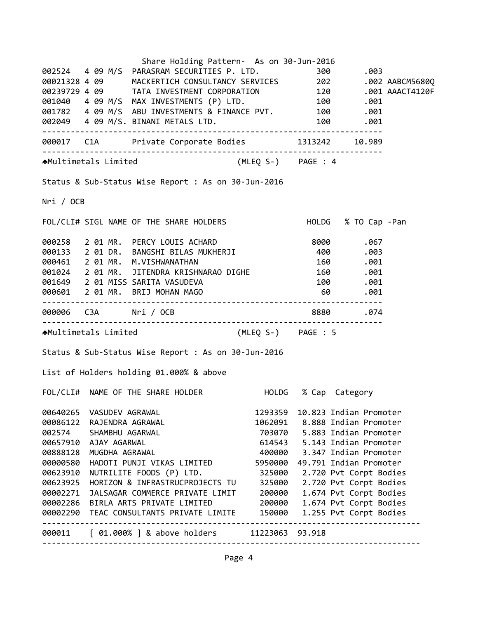|           |                      | Share Holding Pattern- As on 30-Jun-2016                                                                                                                                                                                               |                                                 |    |                        |  |
|-----------|----------------------|----------------------------------------------------------------------------------------------------------------------------------------------------------------------------------------------------------------------------------------|-------------------------------------------------|----|------------------------|--|
|           |                      |                                                                                                                                                                                                                                        |                                                 |    |                        |  |
|           |                      | 002524  4  09  M/S  PARASRAM SECURITIES P. LTD.  300  .003<br>00021328  4  09  MACKERTICH CONSULTANCY SERVICES  202  .002 AABCM5680Q                                                                                                   |                                                 |    |                        |  |
|           |                      | 00021320 4 09<br>00239729 4 09 TATA INVESTMENT CORPORATION 120 .001 AAACT4120F<br>001040 4 09 M/S MAX INVESTMENTS (P) LTD. 100 .001<br>001782 4 09 M/S ABU INVESTMENTS & FINANCE PVT. 100 .001<br>001782 4 09 M/S ABU INVESTMENTS & FI |                                                 |    |                        |  |
|           |                      |                                                                                                                                                                                                                                        |                                                 |    |                        |  |
|           |                      |                                                                                                                                                                                                                                        |                                                 |    |                        |  |
|           |                      |                                                                                                                                                                                                                                        |                                                 |    |                        |  |
|           |                      |                                                                                                                                                                                                                                        |                                                 |    |                        |  |
|           |                      | 000017 C1A Private Corporate Bodies 1313242 10.989                                                                                                                                                                                     |                                                 |    |                        |  |
|           |                      | AMultimetals Limited (MLEQ S-) PAGE : 4                                                                                                                                                                                                |                                                 |    |                        |  |
|           |                      | Status & Sub-Status Wise Report : As on 30-Jun-2016                                                                                                                                                                                    |                                                 |    |                        |  |
| Nri / OCB |                      |                                                                                                                                                                                                                                        |                                                 |    |                        |  |
|           |                      | FOL/CLI# SIGL NAME OF THE SHARE HOLDERS HOLD HOLDG % TO Cap -Pan                                                                                                                                                                       |                                                 |    |                        |  |
|           |                      | 000258 2 01 MR. PERCY LOUIS ACHARD 8000 8000 .067<br>000133 2 01 DR. BANGSHI BILAS MUKHERJI 400 .003                                                                                                                                   |                                                 |    |                        |  |
|           |                      |                                                                                                                                                                                                                                        |                                                 |    |                        |  |
|           |                      | 000461 2 01 MR. M.VISHWANATHAN                                                                                                                                                                                                         |                                                 |    | 160.001                |  |
|           |                      | 001024 2 01 MR. JITENDRA KRISHNARAO DIGHE 160 .001                                                                                                                                                                                     |                                                 |    |                        |  |
|           |                      | 001649 2 01 MISS SARITA VASUDEVA                                                                                                                                                                                                       |                                                 |    | 100.001                |  |
|           |                      | 000601 2 01 MR. BRIJ MOHAN MAGO                                                                                                                                                                                                        |                                                 | 60 | .001                   |  |
|           |                      | 000006 C3A Nri / OCB 3880 8880 .074                                                                                                                                                                                                    |                                                 |    |                        |  |
|           |                      | AMultimetals Limited (MLEQ S-) PAGE : 5                                                                                                                                                                                                |                                                 |    |                        |  |
|           |                      | Status & Sub-Status Wise Report : As on 30-Jun-2016                                                                                                                                                                                    |                                                 |    |                        |  |
|           |                      | List of Holders holding 01.000% & above                                                                                                                                                                                                |                                                 |    |                        |  |
|           |                      | FOL/CLI# NAME OF THE SHARE HOLDER                                                                                                                                                                                                      |                                                 |    | HOLDG % Cap Category   |  |
| 00640265  | VASUDEV AGRAWAL      |                                                                                                                                                                                                                                        | 1293359                                         |    | 10.823 Indian Promoter |  |
| 00086122  | RAJENDRA AGRAWAL     |                                                                                                                                                                                                                                        | 1062091                                         |    | 8.888 Indian Promoter  |  |
| 002574    | SHAMBHU AGARWAL      |                                                                                                                                                                                                                                        | 703070                                          |    | 5.883 Indian Promoter  |  |
| 00657910  | AJAY AGARWAL         |                                                                                                                                                                                                                                        | 614543                                          |    | 5.143 Indian Promoter  |  |
| 00888128  | MUGDHA AGRAWAL       |                                                                                                                                                                                                                                        | 400000                                          |    | 3.347 Indian Promoter  |  |
| 00000580  |                      | HADOTI PUNJI VIKAS LIMITED                                                                                                                                                                                                             | 5950000                                         |    | 49.791 Indian Promoter |  |
| 00623910  |                      | NUTRILITE FOODS (P) LTD.                                                                                                                                                                                                               | 325000                                          |    | 2.720 Pvt Corpt Bodies |  |
| 00623925  |                      | HORIZON & INFRASTRUCPROJECTS TU                                                                                                                                                                                                        | 325000                                          |    | 2.720 Pvt Corpt Bodies |  |
| 00002271  |                      | JALSAGAR COMMERCE PRIVATE LIMIT                                                                                                                                                                                                        | 200000                                          |    | 1.674 Pvt Corpt Bodies |  |
| 00002286  |                      | BIRLA ARTS PRIVATE LIMITED                                                                                                                                                                                                             | 200000                                          |    | 1.674 Pvt Corpt Bodies |  |
| 00002290  |                      | TEAC CONSULTANTS PRIVATE LIMITE                                                                                                                                                                                                        | 150000                                          |    | 1.255 Pvt Corpt Bodies |  |
| 000011    | -------------------- | [ 01.000% ] & above holders                                                                                                                                                                                                            | ----------------------------<br>11223063 93.918 |    |                        |  |

Page 4

‐‐‐‐‐‐‐‐‐‐‐‐‐‐‐‐‐‐‐‐‐‐‐‐‐‐‐‐‐‐‐‐‐‐‐‐‐‐‐‐‐‐‐‐‐‐‐‐‐‐‐‐‐‐‐‐‐‐‐‐‐‐‐‐‐‐‐‐‐‐‐‐‐‐‐‐‐‐‐‐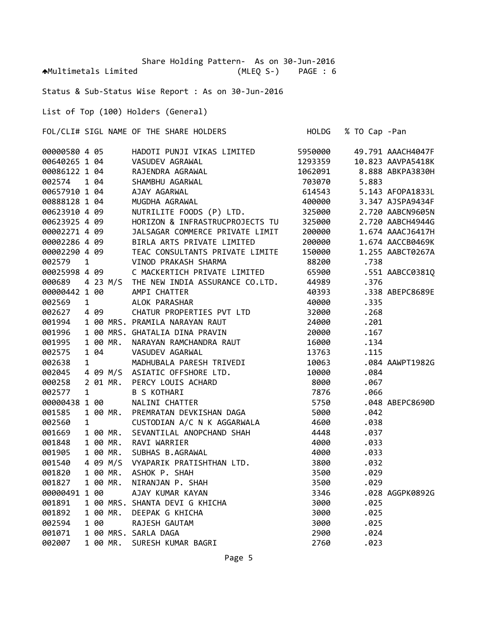Share Holding Pattern‐ As on 30‐Jun‐2016 Multimetals Limited (MLEQ S‐) PAGE : 6

Status & Sub‐Status Wise Report : As on 30‐Jun‐2016

List of Top (100) Holders (General)

FOL/CLI# SIGL NAME OF THE SHARE HOLDERS HOLDG % TO Cap ‐Pan

| 00000580 4 05 |              |                |          | HADOTI PUNJI VIKAS LIMITED                                                                                                                                                                                                   | 5950000 |       | 49.791 AAACH4047F |
|---------------|--------------|----------------|----------|------------------------------------------------------------------------------------------------------------------------------------------------------------------------------------------------------------------------------|---------|-------|-------------------|
| 00640265 1 04 |              |                |          | VASUDEV AGRAWAL<br>RAJENDRA AGRAWAL<br>SHAMBHU AGARWAL<br>AJAY AGARWAL<br>MUGDHA AGRAWAL                                                                                                                                     | 1293359 |       | 10.823 AAVPA5418K |
| 00086122 1 04 |              |                |          |                                                                                                                                                                                                                              | 1062091 |       | 8.888 ABKPA3830H  |
| 002574        |              | 1 04           |          |                                                                                                                                                                                                                              | 703070  | 5.883 |                   |
| 00657910 1 04 |              |                |          |                                                                                                                                                                                                                              | 614543  |       | 5.143 AFOPA1833L  |
| 00888128 1 04 |              |                |          |                                                                                                                                                                                                                              | 400000  |       | 3.347 AJSPA9434F  |
| 00623910 4 09 |              |                |          | NUTRILITE FOODS (P) LTD.                                                                                                                                                                                                     | 325000  |       | 2.720 AABCN9605N  |
| 00623925 4 09 |              |                |          | HORIZON & INFRASTRUCPROJECTS TU                                                                                                                                                                                              | 325000  |       | 2.720 AABCH4944G  |
| 00002271 4 09 |              |                |          | JALSAGAR COMMERCE PRIVATE LIMIT<br>BIRLA ARTS PRIVATE LIMITED                                                                                                                                                                | 200000  |       | 1.674 AAACJ6417H  |
|               |              |                |          | 00002271  4  09   JALSAGAR COMMERCE PRIVATE L<br>00002286   4   09   BIRLA ARTS PRIVATE LIMITED                                                                                                                              | 200000  |       | 1.674 AACCB0469K  |
| 00002290 4 09 |              |                |          | TEAC CONSULTANTS PRIVATE LIMITE                                                                                                                                                                                              | 150000  |       | 1.255 AABCT0267A  |
| 002579        | $\mathbf{1}$ |                |          | VINOD PRAKASH SHARMA                                                                                                                                                                                                         | 88200   | .738  |                   |
| 00025998 4 09 |              |                |          | C MACKERTICH PRIVATE LIMITED                                                                                                                                                                                                 | 65900   |       | .551 AABCC03810   |
| 000689        |              |                |          | 4 23 M/S THE NEW INDIA ASSURANCE CO.LTD.                                                                                                                                                                                     | 44989   | .376  |                   |
| 00000442 1 00 |              |                |          | AMPI CHATTER                                                                                                                                                                                                                 | 40393   |       | .338 ABEPC8689E   |
| 002569        |              | $\overline{1}$ |          | ALOK PARASHAR                                                                                                                                                                                                                | 40000   | .335  |                   |
| 002627        |              | 4 09           |          | CHATUR PROPERTIES PVT LTD                                                                                                                                                                                                    | 32000   | .268  |                   |
| 001994        |              |                |          | 1 00 MRS. PRAMILA NARAYAN RAUT                                                                                                                                                                                               | 24000   | .201  |                   |
| 001996        |              |                |          | 1 00 MRS. GHATALIA DINA PRAVIN                                                                                                                                                                                               | 20000   | .167  |                   |
| 001995        |              |                | 1 00 MR. | NARAYAN RAMCHANDRA RAUT                                                                                                                                                                                                      | 16000   | .134  |                   |
| 002575        |              |                |          |                                                                                                                                                                                                                              | 13763   | .115  |                   |
| 002638        |              |                |          |                                                                                                                                                                                                                              | 10063   |       | .084 AAWPT1982G   |
| 002045        |              |                |          | WADHUBALA PARESH TRIVEDI<br>1 MADHUBALA PARESH TRIVEDI<br>4 09 M/S ASIATIC OFFSHORE LTD.<br>2 01 MR. PERCY LOUIS ACHARD<br>1 B S KOTHARI<br>8 1 00 MALINI CHATTER<br>1 00 MR. PREMPATAN COMB                                 | 10000   | .084  |                   |
| 000258        |              |                |          |                                                                                                                                                                                                                              | 8000    | .067  |                   |
| 002577        |              |                |          |                                                                                                                                                                                                                              | 7876    | .066  |                   |
| 00000438 1 00 |              |                |          |                                                                                                                                                                                                                              | 5750    |       | .048 ABEPC8690D   |
| 001585        |              |                | 1 00 MR. | PREMRATAN DEVKISHAN DAGA                                                                                                                                                                                                     | 5000    | .042  |                   |
| 002560        |              |                |          | 1 00 MR. PREMIRATAN DEVILENT STE.<br>1 CUSTODIAN A/C N K AGGARWALA<br>1 00 MR. SEVANTILAL ANOPCHAND SHAH                                                                                                                     | 4600    | .038  |                   |
| 001669        |              |                |          |                                                                                                                                                                                                                              | 4448    | .037  |                   |
| 001848        |              |                |          | 1 00 MR. RAVI WARRIER                                                                                                                                                                                                        | 4000    | .033  |                   |
| 001905        |              |                |          | 1 00 MR. SUBHAS B.AGRAWAL                                                                                                                                                                                                    | 4000    | .033  |                   |
| 001540        |              |                |          | 4 09 M/S VYAPARIK PRATISHTHAN LTD.                                                                                                                                                                                           | 3800    | .032  |                   |
| 001820        |              |                |          |                                                                                                                                                                                                                              | 3500    | .029  |                   |
| 001827        |              |                |          |                                                                                                                                                                                                                              | 3500    | .029  |                   |
| 00000491 1 00 |              |                |          |                                                                                                                                                                                                                              | 3346    |       | .028 AGGPK0892G   |
| 001891        |              |                |          |                                                                                                                                                                                                                              | 3000    | .025  |                   |
| 001892        |              |                |          |                                                                                                                                                                                                                              | 3000    | .025  |                   |
| 002594        |              |                |          |                                                                                                                                                                                                                              | 3000    | .025  |                   |
| 001071        |              |                |          |                                                                                                                                                                                                                              | 2900    | .024  |                   |
| 002007        |              |                |          | 4 09 M/S VIAPANIN PNATISMMAN LTD.<br>100 MR. ASHOK P. SHAH<br>100 MR. NIRANJAN P. SHAH<br>100 MRS. SHANTA DEVI G KHICHA<br>100 MR. DEEPAK G KHICHA<br>100 RAJESH GAUTAM<br>100 MRS. SARLA DAGA<br>100 MR. SURESH KUMAR BAGRI | 2760    | .023  |                   |
|               |              |                |          |                                                                                                                                                                                                                              |         |       |                   |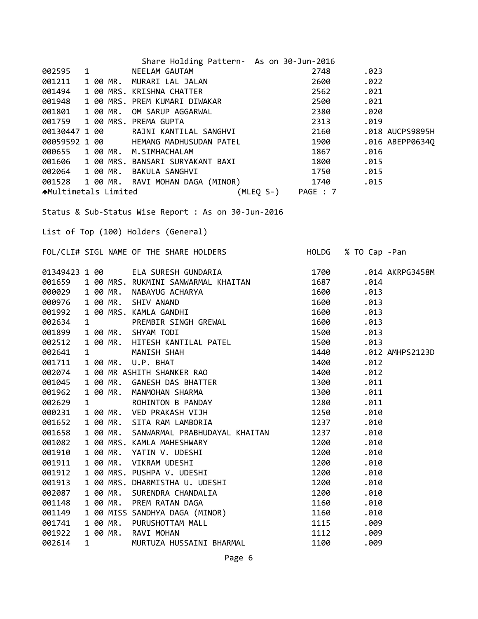| Share Holding Pattern- As on 30-Jun-2016                                                                                                                                                                                                                         |      |                     |
|------------------------------------------------------------------------------------------------------------------------------------------------------------------------------------------------------------------------------------------------------------------|------|---------------------|
|                                                                                                                                                                                                                                                                  |      | .023                |
|                                                                                                                                                                                                                                                                  |      | .022                |
| 002595 1 NEELAM GAUTAM<br>001211 1 00 MR. MURARI LAL JALAN 2600<br>001494 1 00 MRS. KRISHNA CHATTER 2562<br>001948 1 00 MRS. PREM KUMARI DIWAKAR 2500<br>001801 1 00 MR. OM SARUP AGGARWAL 2300<br>001759 1 00 MRS. PREMA GUPTA 2313<br>00                       |      | .021                |
|                                                                                                                                                                                                                                                                  |      | .021                |
|                                                                                                                                                                                                                                                                  |      | .020                |
|                                                                                                                                                                                                                                                                  |      | .019                |
|                                                                                                                                                                                                                                                                  |      | .018 AUCPS9895H     |
|                                                                                                                                                                                                                                                                  |      | .016 ABEPP0634Q     |
|                                                                                                                                                                                                                                                                  |      | .016                |
| 000655 1 00 MR. M.SIMHACHALAM 1867<br>001606 1 00 MRS. BANSARI SURYAKANT BAXI 1800<br>002064 1 00 MR. DAVILL SALERA                                                                                                                                              |      | .015                |
|                                                                                                                                                                                                                                                                  |      |                     |
|                                                                                                                                                                                                                                                                  |      |                     |
| 001000 1 00 HMS. DANSNYL DOWNWREAD DATE:<br>002064 1 00 MR. BAKULA SANGHVI 1750 1740 .015<br>1740 .015 Multimetals Limited (MLEQ S-) PAGE : 7                                                                                                                    |      |                     |
|                                                                                                                                                                                                                                                                  |      |                     |
| Status & Sub-Status Wise Report : As on 30-Jun-2016                                                                                                                                                                                                              |      |                     |
|                                                                                                                                                                                                                                                                  |      |                     |
| List of Top (100) Holders (General)                                                                                                                                                                                                                              |      |                     |
|                                                                                                                                                                                                                                                                  |      |                     |
| FOL/CLI# SIGL NAME OF THE SHARE HOLDERS                                                                                                                                                                                                                          |      | HOLDG % TO Cap -Pan |
|                                                                                                                                                                                                                                                                  |      |                     |
|                                                                                                                                                                                                                                                                  | 1700 | .014 AKRPG3458M     |
| 01349423 1 00       ELA SURESH GUNDARIA<br>001659   1 00 MRS. RUKMINI SANWARMAL KHAITAN                                                                                                                                                                          | 1687 | .014                |
| 000029 1 00 MR.                                                                                                                                                                                                                                                  | 1600 | .013                |
| 000976                                                                                                                                                                                                                                                           | 1600 | .013                |
| 001992                                                                                                                                                                                                                                                           | 1600 | .013                |
| 002634                                                                                                                                                                                                                                                           | 1600 | .013                |
| 001899                                                                                                                                                                                                                                                           | 1500 | .013                |
| 002512                                                                                                                                                                                                                                                           | 1500 | .013                |
| 002641                                                                                                                                                                                                                                                           | 1440 | .012 AMHPS2123D     |
| 100 MRS. RUKMINI SANWARMAL KHAITAN<br>100 MR. NABAYUG ACHARYA<br>100 MR. SHIV ANAND<br>100 MRS. KAMLA GANDHI<br>100 MR. SHYAM TODI<br>100 MR. HITESH KANTILAL PATEL<br>100 MR. HITESH KANTILAL PATEL<br>100 MR. U.P. BHAT<br>100 MR. GANESH DAS BHATTE<br>001711 | 1400 | .012                |
| 002074                                                                                                                                                                                                                                                           | 1400 | .012                |
| 001045                                                                                                                                                                                                                                                           |      | 1300.011            |
| 001962                                                                                                                                                                                                                                                           | 1300 | .011                |
| 002629                                                                                                                                                                                                                                                           | 1280 | .011                |
| 1 00 MR.<br>VED PRAKASH VIJH<br>000231                                                                                                                                                                                                                           | 1250 | .010                |
| 1 00 MR.<br>SITA RAM LAMBORIA<br>001652                                                                                                                                                                                                                          | 1237 | .010                |
| 1 00 MR.<br>001658<br>SANWARMAL PRABHUDAYAL KHAITAN                                                                                                                                                                                                              | 1237 | .010                |
| 1 00 MRS. KAMLA MAHESHWARY<br>001082                                                                                                                                                                                                                             | 1200 | .010                |
| 1 00 MR.<br>001910<br>YATIN V. UDESHI                                                                                                                                                                                                                            | 1200 | .010                |
| 1 00 MR.<br>001911<br>VIKRAM UDESHI                                                                                                                                                                                                                              | 1200 | .010                |
| 001912<br>1 00 MRS. PUSHPA V. UDESHI                                                                                                                                                                                                                             | 1200 | .010                |
| 1 00 MRS. DHARMISTHA U. UDESHI<br>001913                                                                                                                                                                                                                         | 1200 | .010                |
| 1 00 MR.<br>002087<br>SURENDRA CHANDALIA                                                                                                                                                                                                                         | 1200 | .010                |
| 1 00 MR.<br>001148<br>PREM RATAN DAGA                                                                                                                                                                                                                            | 1160 | .010                |
| 1 00 MISS SANDHYA DAGA (MINOR)<br>001149                                                                                                                                                                                                                         | 1160 | .010                |
| 001741<br>1 00 MR.<br>PURUSHOTTAM MALL                                                                                                                                                                                                                           | 1115 | .009                |
| 1 00 MR.<br>001922<br>RAVI MOHAN                                                                                                                                                                                                                                 | 1112 | .009                |
| 002614<br>$\mathbf{1}$<br>MURTUZA HUSSAINI BHARMAL                                                                                                                                                                                                               | 1100 | .009                |
|                                                                                                                                                                                                                                                                  |      |                     |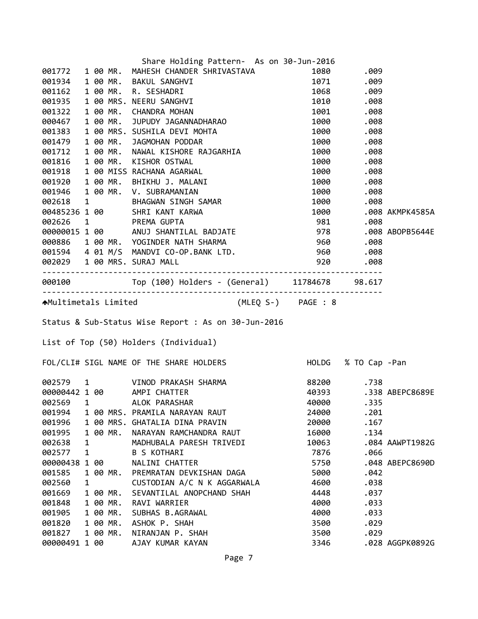|                         |              |          | Share Holding Pattern- As on 30-Jun-2016                                                                                                                                                                                                 |              |            |                       |
|-------------------------|--------------|----------|------------------------------------------------------------------------------------------------------------------------------------------------------------------------------------------------------------------------------------------|--------------|------------|-----------------------|
|                         |              |          | 001772 1 00 MR. MAHESH CHANDER SHRIVASTAVA                                                                                                                                                                                               |              | 1080.009   |                       |
|                         |              |          |                                                                                                                                                                                                                                          |              |            |                       |
|                         |              |          |                                                                                                                                                                                                                                          |              |            |                       |
|                         |              |          | 001772 1 00 MR. MAHESH CHANDER SHRIVASTAVA 1080 .009<br>001934 1 00 MR. BAKUL SANGHVI 1071 .009<br>001935 1 00 MR. N. SESHADRI 1071 .009<br>001935 1 00 MR. CHANDRA MOHAN<br>0001322 1 00 MR. CHANDRA MOHAN<br>0001322 1 00 MR. CHANDR   |              |            |                       |
|                         |              |          |                                                                                                                                                                                                                                          |              |            |                       |
|                         |              |          |                                                                                                                                                                                                                                          |              |            |                       |
|                         |              |          |                                                                                                                                                                                                                                          |              |            |                       |
|                         |              |          |                                                                                                                                                                                                                                          |              |            |                       |
|                         |              |          |                                                                                                                                                                                                                                          |              |            |                       |
|                         |              |          |                                                                                                                                                                                                                                          |              |            |                       |
|                         |              |          |                                                                                                                                                                                                                                          |              |            |                       |
|                         |              |          |                                                                                                                                                                                                                                          |              |            |                       |
|                         |              |          |                                                                                                                                                                                                                                          |              |            |                       |
|                         |              |          |                                                                                                                                                                                                                                          |              |            |                       |
|                         |              |          |                                                                                                                                                                                                                                          |              |            | 1000 .008 AKMPK4585A  |
|                         |              |          | 00485236 1 00 SURI NANTI NANTA<br>002626 1 PREMA GUPTA 981 .008<br>00000015 1 00 ANUJ SHANTILAL BADJATE 978 .008 ABOPB5644E<br>000886 1 00 MR. YOGINDER NATH SHARMA 960 .008<br>001594 4 01 M/S MANDVI CO-OP.BANK LTD. 960 .008<br>00202 |              |            |                       |
|                         |              |          |                                                                                                                                                                                                                                          |              |            |                       |
|                         |              |          |                                                                                                                                                                                                                                          |              |            |                       |
|                         |              |          |                                                                                                                                                                                                                                          |              |            |                       |
|                         |              |          |                                                                                                                                                                                                                                          |              |            |                       |
|                         |              |          |                                                                                                                                                                                                                                          |              |            |                       |
|                         |              |          | 000100 Top (100) Holders - (General) 11784678 98.617                                                                                                                                                                                     |              |            |                       |
|                         |              |          | AMultimetals Limited (MLEQ S-) PAGE : 8                                                                                                                                                                                                  |              |            |                       |
|                         |              |          |                                                                                                                                                                                                                                          |              |            |                       |
|                         |              |          | Status & Sub-Status Wise Report : As on 30-Jun-2016                                                                                                                                                                                      |              |            |                       |
|                         |              |          | List of Top (50) Holders (Individual)                                                                                                                                                                                                    |              |            |                       |
|                         |              |          | FOL/CLI# SIGL NAME OF THE SHARE HOLDERS HOLD HOLDG % TO Cap -Pan                                                                                                                                                                         |              |            |                       |
|                         |              |          |                                                                                                                                                                                                                                          |              |            |                       |
|                         |              |          | 002579 1 VINOD PRAKASH SHARMA<br>00000442.1.00 MPT CUATTER                                                                                                                                                                               |              | 88200 .738 |                       |
|                         |              |          | 00000442 1 00 AMPI CHATTER                                                                                                                                                                                                               |              |            | 40393 .338 ABEPC8689E |
| 002569 1                |              |          | ALOK PARASHAR                                                                                                                                                                                                                            | 40000        | .335       |                       |
| 001994                  |              |          | 1 00 MRS. PRAMILA NARAYAN RAUT                                                                                                                                                                                                           | 24000        | .201       |                       |
| 001996                  |              |          | 1 00 MRS. GHATALIA DINA PRAVIN                                                                                                                                                                                                           | 20000        | .167       |                       |
| 001995                  |              | 1 00 MR. | NARAYAN RAMCHANDRA RAUT                                                                                                                                                                                                                  | 16000        | .134       |                       |
| 002638                  | 1            |          | MADHUBALA PARESH TRIVEDI                                                                                                                                                                                                                 | 10063        |            | .084 AAWPT1982G       |
| 002577                  | $\mathbf{1}$ |          | <b>B S KOTHARI</b>                                                                                                                                                                                                                       | 7876         | .066       |                       |
| 00000438 1 00           |              |          | NALINI CHATTER                                                                                                                                                                                                                           | 5750         |            | .048 ABEPC8690D       |
| 001585                  |              | 1 00 MR. | PREMRATAN DEVKISHAN DAGA                                                                                                                                                                                                                 | 5000         | .042       |                       |
| 002560                  | 1            |          | CUSTODIAN A/C N K AGGARWALA                                                                                                                                                                                                              | 4600         | .038       |                       |
| 001669                  |              | 1 00 MR. | SEVANTILAL ANOPCHAND SHAH                                                                                                                                                                                                                | 4448         | .037       |                       |
| 001848                  |              | 1 00 MR. | RAVI WARRIER                                                                                                                                                                                                                             | 4000         | .033       |                       |
| 001905                  |              | 1 00 MR. | SUBHAS B.AGRAWAL                                                                                                                                                                                                                         | 4000         | .033       |                       |
| 001820                  |              | 1 00 MR. | ASHOK P. SHAH                                                                                                                                                                                                                            | 3500         | .029       |                       |
| 001827<br>00000491 1 00 |              | 1 00 MR. | NIRANJAN P. SHAH<br>AJAY KUMAR KAYAN                                                                                                                                                                                                     | 3500<br>3346 | .029       | .028 AGGPK0892G       |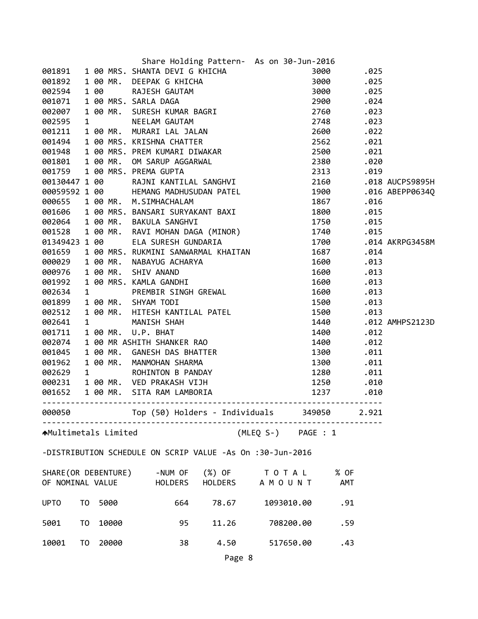| 3001891 1 00 MRS. SHANTA DEVICE KHICHA 3000 .025<br>001891 1 00 MRS. SHANTA DEVICING KHICHA 3000 .025<br>002594 1 00 RAJESH GAUTAM 3000 .025<br>002594 1 00 MRS. SARLA DAGA 2900 .025<br>002697 1 00 MRS. SARLA DAGA 2900 .024<br>002200<br>00130447 160<br>00130447 160<br>00130447 160<br>00130447 160<br>00130447 160<br>00130447 160<br>001606 1 00 MR. SLMNTLIAL SANGHVI<br>000655 1 00 MR. SLMNTACHALAM<br>001666 1 00 MRS. BANSARI SURYAKANT BAXI<br>001666 1 00 MRS. BANSARI SURYAKA |
|----------------------------------------------------------------------------------------------------------------------------------------------------------------------------------------------------------------------------------------------------------------------------------------------------------------------------------------------------------------------------------------------------------------------------------------------------------------------------------------------|
|                                                                                                                                                                                                                                                                                                                                                                                                                                                                                              |
|                                                                                                                                                                                                                                                                                                                                                                                                                                                                                              |
|                                                                                                                                                                                                                                                                                                                                                                                                                                                                                              |
|                                                                                                                                                                                                                                                                                                                                                                                                                                                                                              |
|                                                                                                                                                                                                                                                                                                                                                                                                                                                                                              |
|                                                                                                                                                                                                                                                                                                                                                                                                                                                                                              |
|                                                                                                                                                                                                                                                                                                                                                                                                                                                                                              |
|                                                                                                                                                                                                                                                                                                                                                                                                                                                                                              |
|                                                                                                                                                                                                                                                                                                                                                                                                                                                                                              |
|                                                                                                                                                                                                                                                                                                                                                                                                                                                                                              |
|                                                                                                                                                                                                                                                                                                                                                                                                                                                                                              |
|                                                                                                                                                                                                                                                                                                                                                                                                                                                                                              |
|                                                                                                                                                                                                                                                                                                                                                                                                                                                                                              |
|                                                                                                                                                                                                                                                                                                                                                                                                                                                                                              |
|                                                                                                                                                                                                                                                                                                                                                                                                                                                                                              |
|                                                                                                                                                                                                                                                                                                                                                                                                                                                                                              |
|                                                                                                                                                                                                                                                                                                                                                                                                                                                                                              |
|                                                                                                                                                                                                                                                                                                                                                                                                                                                                                              |
|                                                                                                                                                                                                                                                                                                                                                                                                                                                                                              |
|                                                                                                                                                                                                                                                                                                                                                                                                                                                                                              |
|                                                                                                                                                                                                                                                                                                                                                                                                                                                                                              |
|                                                                                                                                                                                                                                                                                                                                                                                                                                                                                              |
|                                                                                                                                                                                                                                                                                                                                                                                                                                                                                              |
|                                                                                                                                                                                                                                                                                                                                                                                                                                                                                              |
|                                                                                                                                                                                                                                                                                                                                                                                                                                                                                              |
|                                                                                                                                                                                                                                                                                                                                                                                                                                                                                              |
|                                                                                                                                                                                                                                                                                                                                                                                                                                                                                              |
|                                                                                                                                                                                                                                                                                                                                                                                                                                                                                              |
|                                                                                                                                                                                                                                                                                                                                                                                                                                                                                              |
|                                                                                                                                                                                                                                                                                                                                                                                                                                                                                              |
|                                                                                                                                                                                                                                                                                                                                                                                                                                                                                              |
|                                                                                                                                                                                                                                                                                                                                                                                                                                                                                              |
|                                                                                                                                                                                                                                                                                                                                                                                                                                                                                              |
|                                                                                                                                                                                                                                                                                                                                                                                                                                                                                              |
| Top (50) Holders - Individuals 349050<br>000050<br>2.921                                                                                                                                                                                                                                                                                                                                                                                                                                     |
| (MLEQ S-) PAGE : 1<br><b>↑</b> Multimetals Limited                                                                                                                                                                                                                                                                                                                                                                                                                                           |
| -DISTRIBUTION SCHEDULE ON SCRIP VALUE -As On :30-Jun-2016                                                                                                                                                                                                                                                                                                                                                                                                                                    |
| SHARE(OR DEBENTURE)<br>-NUM OF<br>$(\%)$ OF TOTAL<br>% OF                                                                                                                                                                                                                                                                                                                                                                                                                                    |
| HOLDERS A M O U N T<br>OF NOMINAL VALUE<br>HOLDERS<br>AMT                                                                                                                                                                                                                                                                                                                                                                                                                                    |
| 5000<br>664<br><b>UPTO</b><br>T0<br>78.67<br>1093010.00<br>.91                                                                                                                                                                                                                                                                                                                                                                                                                               |
| 10000<br>11.26<br>5001<br>T <sub>0</sub><br>95<br>708200.00<br>.59                                                                                                                                                                                                                                                                                                                                                                                                                           |
| 20000<br>38<br>10001<br>T <sub>0</sub><br>4.50<br>517650.00<br>.43                                                                                                                                                                                                                                                                                                                                                                                                                           |
| Page 8                                                                                                                                                                                                                                                                                                                                                                                                                                                                                       |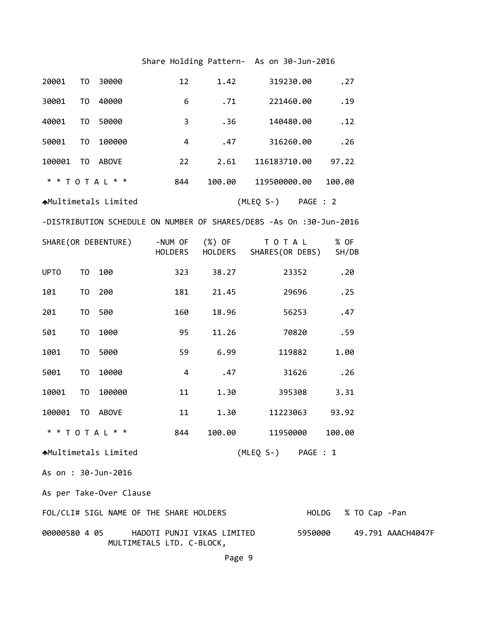## Share Holding Pattern‐ As on 30‐Jun‐2016

| 20001         | T0             | 30000                                   | 12      | 1.42                       | 319230.00                                                           |         | .27           |                   |
|---------------|----------------|-----------------------------------------|---------|----------------------------|---------------------------------------------------------------------|---------|---------------|-------------------|
| 30001         | T0             | 40000                                   | 6       | .71                        | 221460.00                                                           |         | .19           |                   |
| 40001         | T <sub>0</sub> | 50000                                   | 3       | .36                        | 140480.00                                                           |         | .12           |                   |
| 50001         | T <sub>0</sub> | 100000                                  | 4       | .47                        | 316260.00                                                           |         | .26           |                   |
| 100001        |                | TO ABOVE                                | 22      | 2.61                       | 116183710.00                                                        |         | 97.22         |                   |
|               |                | * * T O T A L * *                       | 844     | 100.00                     | 119500000.00                                                        |         | 100.00        |                   |
|               |                | <b>AMultimetals Limited</b>             |         |                            | (MLEQ S-) PAGE : 2                                                  |         |               |                   |
|               |                |                                         |         |                            | -DISTRIBUTION SCHEDULE ON NUMBER OF SHARES/DEBS -As On :30-Jun-2016 |         |               |                   |
|               |                | SHARE(OR DEBENTURE)                     | HOLDERS | -NUM OF (%) OF<br>HOLDERS  | T O T A L<br>SHARES(OR DEBS)                                        |         | % OF<br>SH/DB |                   |
| <b>UPTO</b>   | T <sub>0</sub> | 100                                     | 323     | 38.27                      | 23352                                                               |         | .20           |                   |
| 101           | T <sub>0</sub> | 200                                     | 181     | 21.45                      | 29696                                                               |         | .25           |                   |
| 201           | T <sub>0</sub> | 500                                     | 160     | 18.96                      | 56253                                                               |         | .47           |                   |
| 501           | T <sub>0</sub> | 1000                                    | 95      | 11.26                      | 70820                                                               |         | .59           |                   |
| 1001          | T <sub>0</sub> | 5000                                    | 59      | 6.99                       | 119882                                                              |         | 1.00          |                   |
| 5001          | T <sub>0</sub> | 10000                                   | 4       | .47                        | 31626                                                               |         | .26           |                   |
| 10001         | T0             | 100000                                  | 11      | 1.30                       | 395308                                                              |         | 3.31          |                   |
| 100001        | T <sub>0</sub> | <b>ABOVE</b>                            | 11      | 1.30                       | 11223063                                                            |         | 93.92         |                   |
|               |                | * * T O T A L * *                       | 844     | 100.00                     | 11950000                                                            |         | 100.00        |                   |
|               |                | ▲Multimetals Limited                    |         |                            | (MLEQ S-) PAGE : 1                                                  |         |               |                   |
|               |                | As on : 30-Jun-2016                     |         |                            |                                                                     |         |               |                   |
|               |                | As per Take-Over Clause                 |         |                            |                                                                     |         |               |                   |
|               |                | FOL/CLI# SIGL NAME OF THE SHARE HOLDERS |         |                            |                                                                     | HOLDG   | % TO Cap -Pan |                   |
| 00000580 4 05 |                | MULTIMETALS LTD. C-BLOCK,               |         | HADOTI PUNJI VIKAS LIMITED |                                                                     | 5950000 |               | 49.791 AAACH4047F |

Page 9